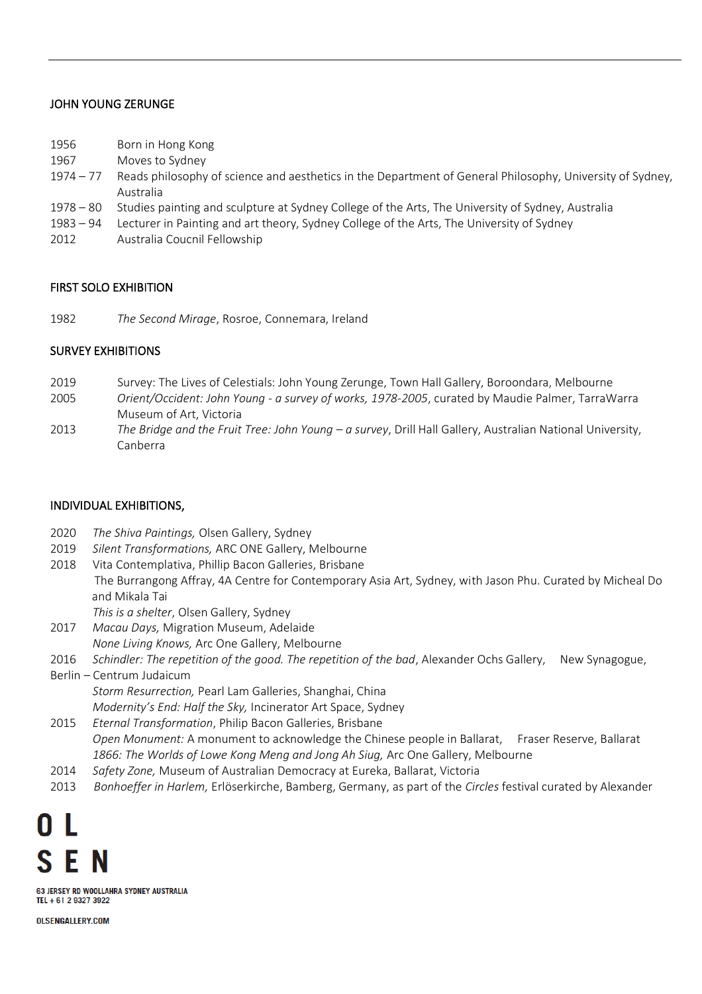### JOHN YOUNG ZERUNGE

- 1956 Born in Hong Kong
- 1967 Moves to Sydney
- 1974 77 Reads philosophy of science and aesthetics in the Department of General Philosophy, University of Sydney, Australia
- 1978 80 Studies painting and sculpture at Sydney College of the Arts, The University of Sydney, Australia
- 1983 94 Lecturer in Painting and art theory, Sydney College of the Arts, The University of Sydney
- 2012 Australia Coucnil Fellowship

### FIRST SOLO EXHIBITION

1982 *The Second Mirage*, Rosroe, Connemara, Ireland

### SURVEY EXHIBITIONS

- 2019 Survey: The Lives of Celestials: John Young Zerunge, Town Hall Gallery, Boroondara, Melbourne
- 2005 *Orient/Occident: John Young - a survey of works, 1978-2005*, curated by Maudie Palmer, TarraWarra Museum of Art, Victoria
- 2013 *The Bridge and the Fruit Tree: John Young – a survey*, Drill Hall Gallery, Australian National University, Canberra

#### INDIVIDUAL EXHIBITIONS,

- 2020 *The Shiva Paintings,* Olsen Gallery, Sydney
- 2019 *Silent Transformations,* ARC ONE Gallery, Melbourne
- 2018 Vita Contemplativa, Phillip Bacon Galleries, Brisbane
	- The Burrangong Affray, 4A Centre for Contemporary Asia Art, Sydney, with Jason Phu. Curated by Micheal Do and Mikala Tai
		- *This is a shelter*, Olsen Gallery, Sydney
- 2017 *Macau Days,* Migration Museum, Adelaide *None Living Knows,* Arc One Gallery, Melbourne
- 2016 *Schindler: The repetition of the good. The repetition of the bad*, Alexander Ochs Gallery, New Synagogue,
- Berlin Centrum Judaicum *Storm Resurrection,* Pearl Lam Galleries, Shanghai, China *Modernity's End: Half the Sky,* Incinerator Art Space, Sydney
- 2015 *Eternal Transformation*, Philip Bacon Galleries, Brisbane *Open Monument:* A monument to acknowledge the Chinese people in Ballarat, Fraser Reserve, Ballarat *1866: The Worlds of Lowe Kong Meng and Jong Ah Siug,* Arc One Gallery, Melbourne
- 2014 *Safety Zone,* Museum of Australian Democracy at Eureka, Ballarat, Victoria
- 2013 *Bonhoeffer in Harlem,* Erlöserkirche, Bamberg, Germany, as part of the *Circles* festival curated by Alexander



63 JERSEY RD WOOLLAHRA SYDNEY AUSTRALIA TEL + 61 2 9327 3922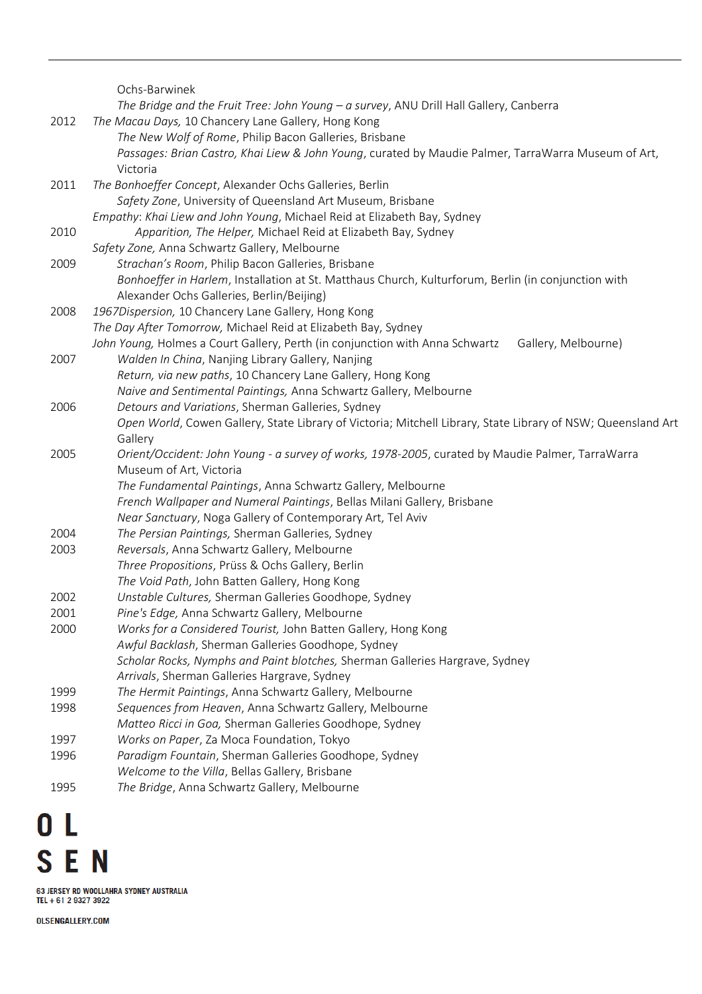|      | Ochs-Barwinek                                                                                                               |
|------|-----------------------------------------------------------------------------------------------------------------------------|
|      | The Bridge and the Fruit Tree: John Young - a survey, ANU Drill Hall Gallery, Canberra                                      |
| 2012 | The Macau Days, 10 Chancery Lane Gallery, Hong Kong                                                                         |
|      | The New Wolf of Rome, Philip Bacon Galleries, Brisbane                                                                      |
|      | Passages: Brian Castro, Khai Liew & John Young, curated by Maudie Palmer, TarraWarra Museum of Art,                         |
|      | Victoria                                                                                                                    |
| 2011 | The Bonhoeffer Concept, Alexander Ochs Galleries, Berlin                                                                    |
|      | Safety Zone, University of Queensland Art Museum, Brisbane                                                                  |
|      | Empathy: Khai Liew and John Young, Michael Reid at Elizabeth Bay, Sydney                                                    |
| 2010 | Apparition, The Helper, Michael Reid at Elizabeth Bay, Sydney                                                               |
|      | Safety Zone, Anna Schwartz Gallery, Melbourne                                                                               |
| 2009 | Strachan's Room, Philip Bacon Galleries, Brisbane                                                                           |
|      | Bonhoeffer in Harlem, Installation at St. Matthaus Church, Kulturforum, Berlin (in conjunction with                         |
|      | Alexander Ochs Galleries, Berlin/Beijing)                                                                                   |
| 2008 | 1967Dispersion, 10 Chancery Lane Gallery, Hong Kong                                                                         |
|      | The Day After Tomorrow, Michael Reid at Elizabeth Bay, Sydney                                                               |
|      | John Young, Holmes a Court Gallery, Perth (in conjunction with Anna Schwartz<br>Gallery, Melbourne)                         |
| 2007 | Walden In China, Nanjing Library Gallery, Nanjing                                                                           |
|      | Return, via new paths, 10 Chancery Lane Gallery, Hong Kong                                                                  |
|      | Naive and Sentimental Paintings, Anna Schwartz Gallery, Melbourne                                                           |
| 2006 | Detours and Variations, Sherman Galleries, Sydney                                                                           |
|      | Open World, Cowen Gallery, State Library of Victoria; Mitchell Library, State Library of NSW; Queensland Art                |
|      | Gallery                                                                                                                     |
| 2005 | Orient/Occident: John Young - a survey of works, 1978-2005, curated by Maudie Palmer, TarraWarra<br>Museum of Art, Victoria |
|      | The Fundamental Paintings, Anna Schwartz Gallery, Melbourne                                                                 |
|      | French Wallpaper and Numeral Paintings, Bellas Milani Gallery, Brisbane                                                     |
|      | Near Sanctuary, Noga Gallery of Contemporary Art, Tel Aviv                                                                  |
| 2004 | The Persian Paintings, Sherman Galleries, Sydney                                                                            |
| 2003 | Reversals, Anna Schwartz Gallery, Melbourne                                                                                 |
|      | Three Propositions, Prüss & Ochs Gallery, Berlin                                                                            |
|      | The Void Path, John Batten Gallery, Hong Kong                                                                               |
| 2002 | Unstable Cultures, Sherman Galleries Goodhope, Sydney                                                                       |
| 2001 | Pine's Edge, Anna Schwartz Gallery, Melbourne                                                                               |
| 2000 | Works for a Considered Tourist, John Batten Gallery, Hong Kong                                                              |
|      | Awful Backlash, Sherman Galleries Goodhope, Sydney                                                                          |
|      | Scholar Rocks, Nymphs and Paint blotches, Sherman Galleries Hargrave, Sydney                                                |
|      | Arrivals, Sherman Galleries Hargrave, Sydney                                                                                |
| 1999 | The Hermit Paintings, Anna Schwartz Gallery, Melbourne                                                                      |
| 1998 | Sequences from Heaven, Anna Schwartz Gallery, Melbourne                                                                     |
|      | Matteo Ricci in Goa, Sherman Galleries Goodhope, Sydney                                                                     |
| 1997 | Works on Paper, Za Moca Foundation, Tokyo                                                                                   |
| 1996 | Paradigm Fountain, Sherman Galleries Goodhope, Sydney                                                                       |
|      | Welcome to the Villa, Bellas Gallery, Brisbane                                                                              |
| 1995 | The Bridge, Anna Schwartz Gallery, Melbourne                                                                                |

 $0<sub>L</sub>$ **SEN** 

63 JERSEY RD WOOLLAHRA SYDNEY AUSTRALIA<br>TEL + 61 2 9327 3922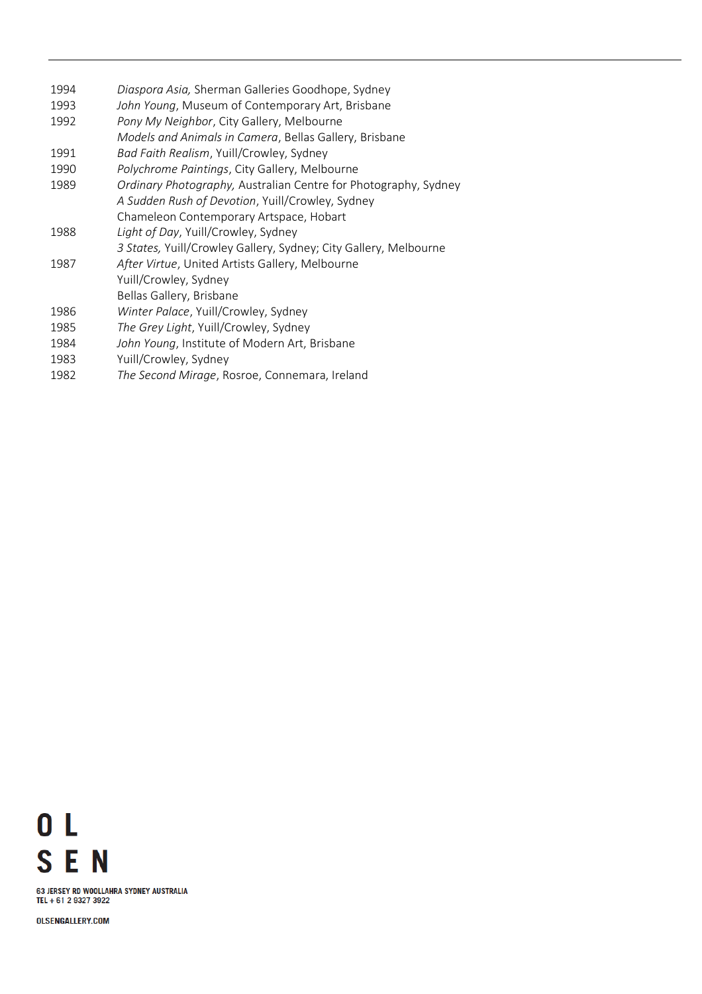- 1994 *Diaspora Asia,* Sherman Galleries Goodhope, Sydney 1993 *John Young*, Museum of Contemporary Art, Brisbane 1992 *Pony My Neighbor*, City Gallery, Melbourne *Models and Animals in Camera*, Bellas Gallery, Brisbane 1991 *Bad Faith Realism*, Yuill/Crowley, Sydney 1990 *Polychrome Paintings*, City Gallery, Melbourne 1989 *Ordinary Photography,* Australian Centre for Photography, Sydney *A Sudden Rush of Devotion*, Yuill/Crowley, Sydney Chameleon Contemporary Artspace, Hobart 1988 *Light of Day*, Yuill/Crowley, Sydney *3 States,* Yuill/Crowley Gallery, Sydney; City Gallery, Melbourne 1987 *After Virtue*, United Artists Gallery, Melbourne Yuill/Crowley, Sydney Bellas Gallery, Brisbane 1986 *Winter Palace*, Yuill/Crowley, Sydney 1985 *The Grey Light*, Yuill/Crowley, Sydney 1984 *John Young*, Institute of Modern Art, Brisbane 1983 Yuill/Crowley, Sydney
- 1982 *The Second Mirage*, Rosroe, Connemara, Ireland



63 JERSEY RD WOOLLAHRA SYDNEY AUSTRALIA TEL + 61 2 9327 3922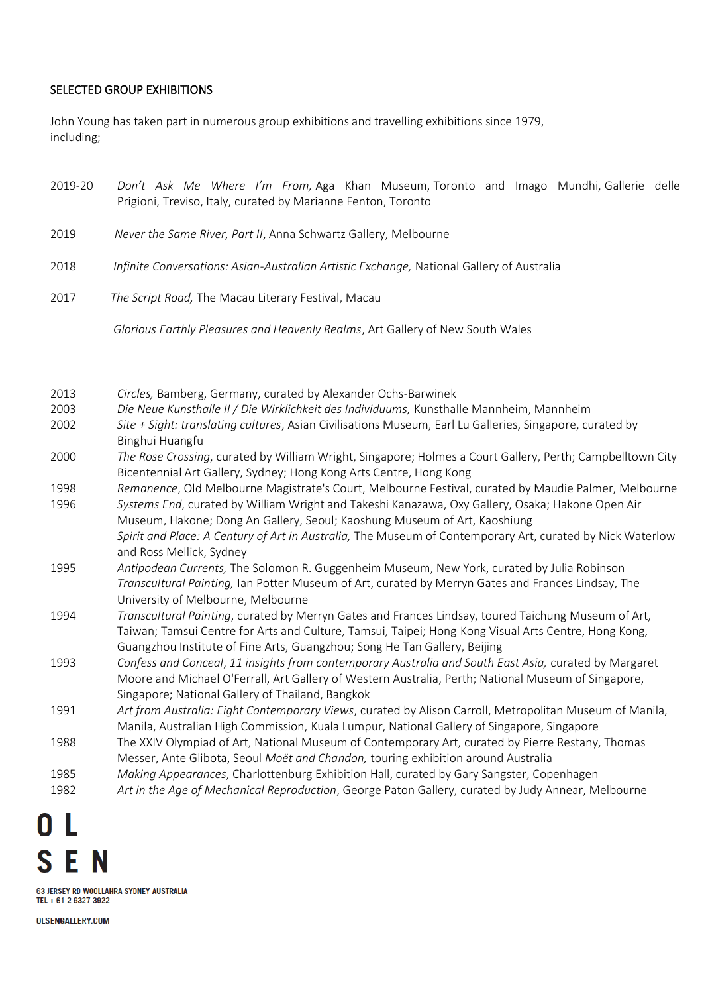### SELECTED GROUP EXHIBITIONS

John Young has taken part in numerous group exhibitions and travelling exhibitions since 1979, including;

- 2019-20 *Don't Ask Me Where I'm From,* Aga Khan Museum, Toronto and Imago Mundhi, Gallerie delle Prigioni, Treviso, Italy, curated by Marianne Fenton, Toronto
- 2019 *Never the Same River, Part II*, Anna Schwartz Gallery, Melbourne
- 2018 *Infinite Conversations: Asian-Australian Artistic Exchange,* National Gallery of Australia
- 2017 *The Script Road,* The Macau Literary Festival, Macau

*Glorious Earthly Pleasures and Heavenly Realms*, Art Gallery of New South Wales

 *Circles,* Bamberg, Germany, curated by Alexander Ochs-Barwinek *Die Neue Kunsthalle II / Die Wirklichkeit des Individuums,* Kunsthalle Mannheim, Mannheim *Site + Sight: translating cultures*, Asian Civilisations Museum, Earl Lu Galleries, Singapore, curated by Binghui Huangfu *The Rose Crossing*, curated by William Wright, Singapore; Holmes a Court Gallery, Perth; Campbelltown City Bicentennial Art Gallery, Sydney; Hong Kong Arts Centre, Hong Kong

- 1998 *Remanence*, Old Melbourne Magistrate's Court, Melbourne Festival, curated by Maudie Palmer, Melbourne 1996 *Systems End*, curated by William Wright and Takeshi Kanazawa, Oxy Gallery, Osaka; Hakone Open Air Museum, Hakone; Dong An Gallery, Seoul; Kaoshung Museum of Art, Kaoshiung
	- *Spirit and Place: A Century of Art in Australia,* The Museum of Contemporary Art, curated by Nick Waterlow and Ross Mellick, Sydney
- 1995 *Antipodean Currents,* The Solomon R. Guggenheim Museum, New York, curated by Julia Robinson *Transcultural Painting,* Ian Potter Museum of Art, curated by Merryn Gates and Frances Lindsay, The University of Melbourne, Melbourne
- 1994 *Transcultural Painting*, curated by Merryn Gates and Frances Lindsay, toured Taichung Museum of Art, Taiwan; Tamsui Centre for Arts and Culture, Tamsui, Taipei; Hong Kong Visual Arts Centre, Hong Kong, Guangzhou Institute of Fine Arts, Guangzhou; Song He Tan Gallery, Beijing
- 1993 *Confess and Conceal*, *11 insights from contemporary Australia and South East Asia,* curated by Margaret Moore and Michael O'Ferrall, Art Gallery of Western Australia, Perth; National Museum of Singapore, Singapore; National Gallery of Thailand, Bangkok
- 1991 *Art from Australia: Eight Contemporary Views*, curated by Alison Carroll, Metropolitan Museum of Manila, Manila, Australian High Commission, Kuala Lumpur, National Gallery of Singapore, Singapore
- 1988 The XXIV Olympiad of Art, National Museum of Contemporary Art, curated by Pierre Restany, Thomas Messer, Ante Glibota, Seoul *Moët and Chandon,* touring exhibition around Australia
- 1985 *Making Appearances*, Charlottenburg Exhibition Hall, curated by Gary Sangster, Copenhagen
- 1982 *Art in the Age of Mechanical Reproduction*, George Paton Gallery, curated by Judy Annear, Melbourne

63 JERSEY RD WOOLLAHRA SYDNEY AUSTRALIA TEL + 61 2 9327 3922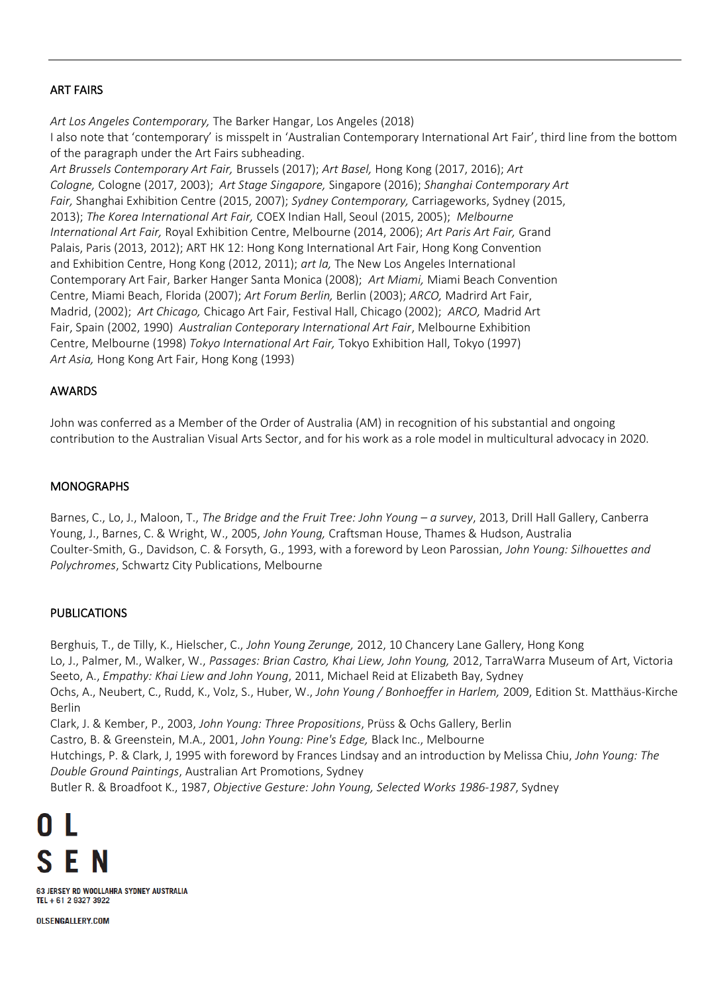## ART FAIRS

*Art Los Angeles Contemporary,* The Barker Hangar, Los Angeles (2018) I also note that 'contemporary' is misspelt in 'Australian Contemporary International Art Fair', third line from the bottom of the paragraph under the Art Fairs subheading.

*Art Brussels Contemporary Art Fair,* Brussels (2017); *Art Basel,* Hong Kong (2017, 2016); *Art Cologne,* Cologne (2017, 2003); *Art Stage Singapore,* Singapore (2016); *Shanghai Contemporary Art Fair,* Shanghai Exhibition Centre (2015, 2007); *Sydney Contemporary,* Carriageworks, Sydney (2015, 2013); *The Korea International Art Fair,* COEX Indian Hall, Seoul (2015, 2005); *Melbourne International Art Fair,* Royal Exhibition Centre, Melbourne (2014, 2006); *Art Paris Art Fair,* Grand Palais, Paris (2013, 2012); ART HK 12: Hong Kong International Art Fair, Hong Kong Convention and Exhibition Centre, Hong Kong (2012, 2011); *art la,* The New Los Angeles International Contemporary Art Fair, Barker Hanger Santa Monica (2008); *Art Miami,* Miami Beach Convention Centre, Miami Beach, Florida (2007); *Art Forum Berlin,* Berlin (2003); *ARCO,* Madrird Art Fair, Madrid, (2002); *Art Chicago,* Chicago Art Fair, Festival Hall, Chicago (2002); *ARCO,* Madrid Art Fair, Spain (2002, 1990) *Australian Conteporary International Art Fair*, Melbourne Exhibition Centre, Melbourne (1998) *Tokyo International Art Fair,* Tokyo Exhibition Hall, Tokyo (1997) *Art Asia,* Hong Kong Art Fair, Hong Kong (1993)

# AWARDS

John was conferred as a Member of the Order of Australia (AM) in recognition of his substantial and ongoing contribution to the Australian Visual Arts Sector, and for his work as a role model in multicultural advocacy in 2020.

## MONOGRAPHS

Barnes, C., Lo, J., Maloon, T., *The Bridge and the Fruit Tree: John Young – a survey*, 2013, Drill Hall Gallery, Canberra Young, J., Barnes, C. & Wright, W., 2005, *John Young,* Craftsman House, Thames & Hudson, Australia Coulter-Smith, G., Davidson, C. & Forsyth, G., 1993, with a foreword by Leon Parossian, *John Young: Silhouettes and Polychromes*, Schwartz City Publications, Melbourne

## PUBLICATIONS

Berghuis, T., de Tilly, K., Hielscher, C., *John Young Zerunge,* 2012, 10 Chancery Lane Gallery, Hong Kong Lo, J., Palmer, M., Walker, W., *Passages: Brian Castro, Khai Liew, John Young,* 2012, TarraWarra Museum of Art, Victoria Seeto, A., *Empathy: Khai Liew and John Young*, 2011, Michael Reid at Elizabeth Bay, Sydney Ochs, A., Neubert, C., Rudd, K., Volz, S., Huber, W., *John Young / Bonhoeffer in Harlem,* 2009, Edition St. Matthäus-Kirche Berlin

Clark, J. & Kember, P., 2003, *John Young: Three Propositions*, Prüss & Ochs Gallery, Berlin

Castro, B. & Greenstein, M.A., 2001, *John Young: Pine's Edge,* Black Inc., Melbourne

Hutchings, P. & Clark, J, 1995 with foreword by Frances Lindsay and an introduction by Melissa Chiu, *John Young: The Double Ground Paintings*, Australian Art Promotions, Sydney

Butler R. & Broadfoot K., 1987, *Objective Gesture: John Young, Selected Works 1986-1987*, Sydney



63 JERSEY RD WOOLLAHRA SYDNEY AUSTRALIA TEL + 61 2 9327 3922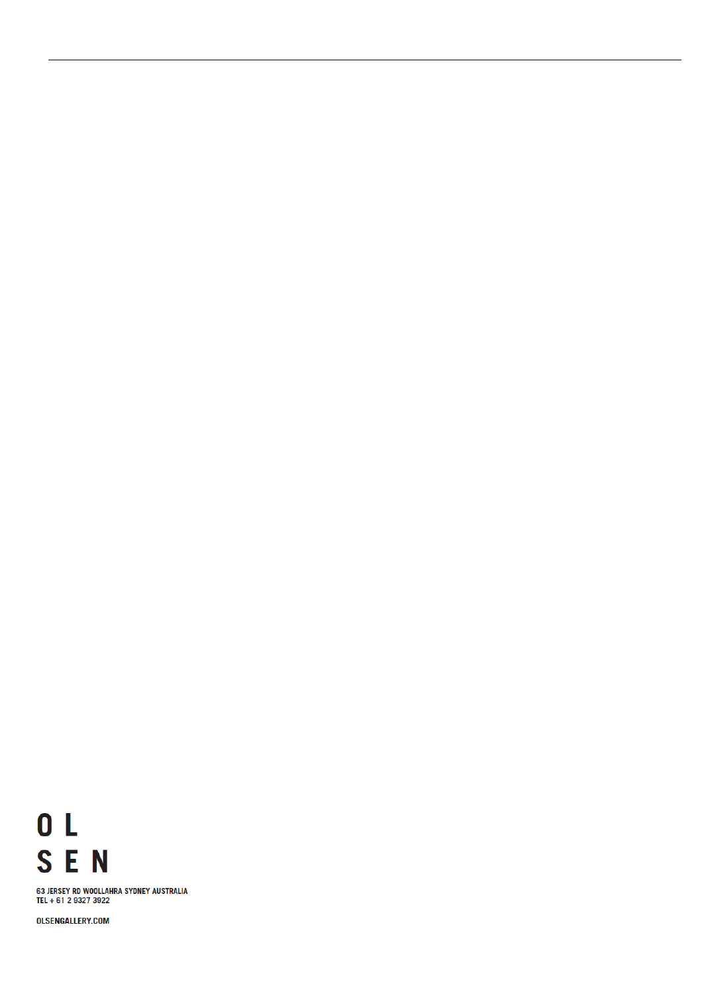

63 JERSEY RD WOOLLAHRA SYDNEY AUSTRALIA<br>TEL + 61 2 9327 3922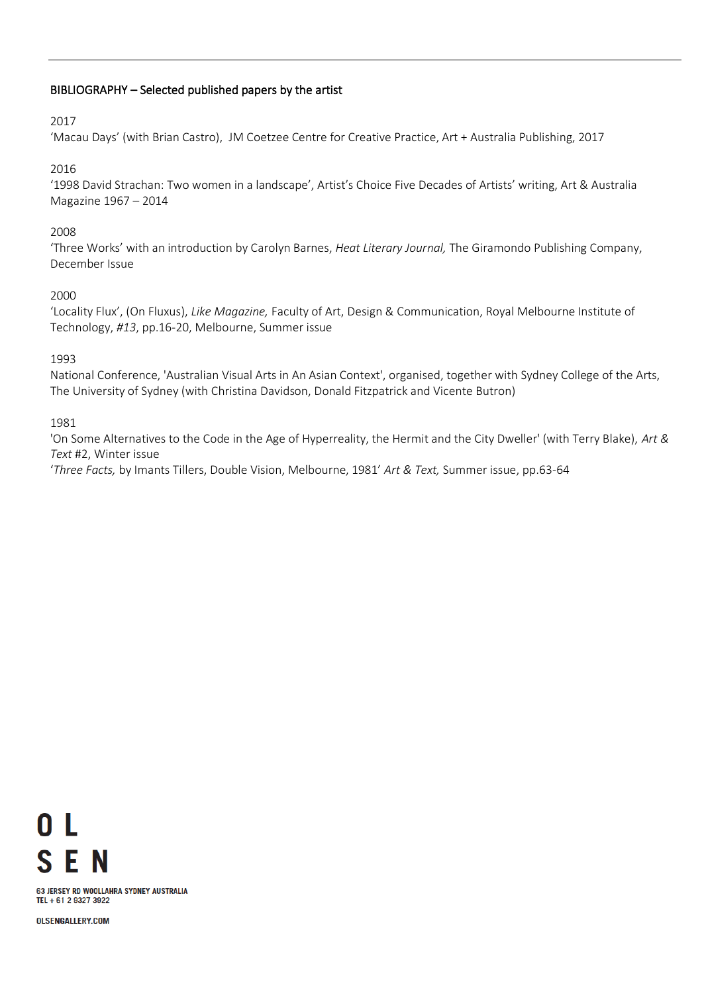## BIBLIOGRAPHY – Selected published papers by the artist

### 2017

'Macau Days' (with Brian Castro), JM Coetzee Centre for Creative Practice, Art + Australia Publishing, 2017

### 2016

'1998 David Strachan: Two women in a landscape', Artist's Choice Five Decades of Artists' writing, Art & Australia Magazine 1967 – 2014

### 2008

'Three Works' with an introduction by Carolyn Barnes, *Heat Literary Journal,* The Giramondo Publishing Company, December Issue

### 2000

'Locality Flux', (On Fluxus), *Like Magazine,* Faculty of Art, Design & Communication, Royal Melbourne Institute of Technology, *#13*, pp.16-20, Melbourne, Summer issue

### 1993

National Conference, 'Australian Visual Arts in An Asian Context', organised, together with Sydney College of the Arts, The University of Sydney (with Christina Davidson, Donald Fitzpatrick and Vicente Butron)

1981

'On Some Alternatives to the Code in the Age of Hyperreality, the Hermit and the City Dweller' (with Terry Blake), *Art & Text* #2, Winter issue

'*Three Facts,* by Imants Tillers, Double Vision, Melbourne, 1981' *Art & Text,* Summer issue, pp.63-64



63 JERSEY RD WOOLLAHRA SYDNEY AUSTRALIA TEL + 61 2 9327 3922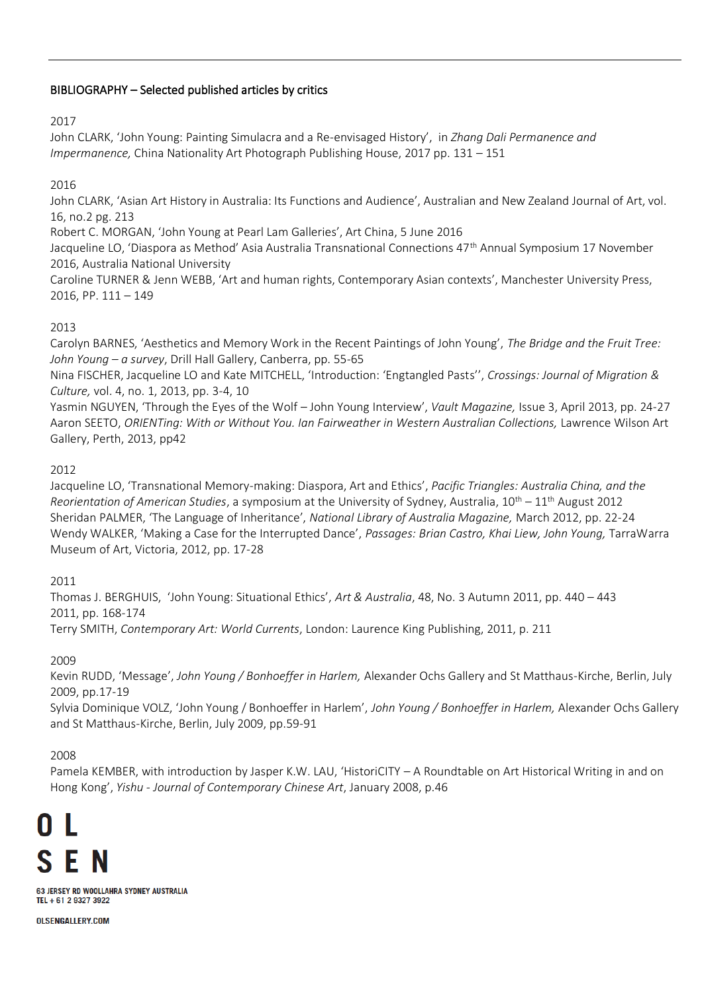# BIBLIOGRAPHY – Selected published articles by critics

## 2017

John CLARK, 'John Young: Painting Simulacra and a Re-envisaged History', in *Zhang Dali Permanence and Impermanence,* China Nationality Art Photograph Publishing House, 2017 pp. 131 – 151

## 2016

John CLARK, 'Asian Art History in Australia: Its Functions and Audience', Australian and New Zealand Journal of Art, vol. 16, no.2 pg. 213

Robert C. MORGAN, 'John Young at Pearl Lam Galleries', Art China, 5 June 2016

Jacqueline LO, 'Diaspora as Method' Asia Australia Transnational Connections 47th Annual Symposium 17 November 2016, Australia National University

Caroline TURNER & Jenn WEBB, 'Art and human rights, Contemporary Asian contexts', Manchester University Press, 2016, PP. 111 – 149

# 2013

Carolyn BARNES, 'Aesthetics and Memory Work in the Recent Paintings of John Young', *The Bridge and the Fruit Tree: John Young – a survey*, Drill Hall Gallery, Canberra, pp. 55-65

Nina FISCHER, Jacqueline LO and Kate MITCHELL, 'Introduction: 'Engtangled Pasts'', *Crossings: Journal of Migration & Culture,* vol. 4, no. 1, 2013, pp. 3-4, 10

Yasmin NGUYEN, 'Through the Eyes of the Wolf – John Young Interview', *Vault Magazine,* Issue 3, April 2013, pp. 24-27 Aaron SEETO, *ORIENTing: With or Without You. Ian Fairweather in Western Australian Collections*, Lawrence Wilson Art Gallery, Perth, 2013, pp42

## 2012

Jacqueline LO, 'Transnational Memory-making: Diaspora, Art and Ethics', *Pacific Triangles: Australia China, and the Reorientation of American Studies*, a symposium at the University of Sydney, Australia, 10th – 11th August 2012 Sheridan PALMER, 'The Language of Inheritance', *National Library of Australia Magazine,* March 2012, pp. 22-24 Wendy WALKER, 'Making a Case for the Interrupted Dance', *Passages: Brian Castro, Khai Liew, John Young,* TarraWarra Museum of Art, Victoria, 2012, pp. 17-28

## 2011

Thomas J. BERGHUIS, 'John Young: Situational Ethics', *Art & Australia*, 48, No. 3 Autumn 2011, pp. 440 – 443 2011, pp. 168-174 Terry SMITH, *Contemporary Art: World Currents*, London: Laurence King Publishing, 2011, p. 211

2009

Kevin RUDD, 'Message', *John Young / Bonhoeffer in Harlem,* Alexander Ochs Gallery and St Matthaus-Kirche, Berlin, July 2009, pp.17-19

Sylvia Dominique VOLZ, 'John Young / Bonhoeffer in Harlem', *John Young / Bonhoeffer in Harlem,* Alexander Ochs Gallery and St Matthaus-Kirche, Berlin, July 2009, pp.59-91

## 2008

Pamela KEMBER, with introduction by Jasper K.W. LAU, 'HistoriCITY – A Roundtable on Art Historical Writing in and on Hong Kong', *Yishu - Journal of Contemporary Chinese Art*, January 2008, p.46



63 JERSEY RD WOOLLAHRA SYDNEY AUSTRALIA TEL + 61 2 9327 3922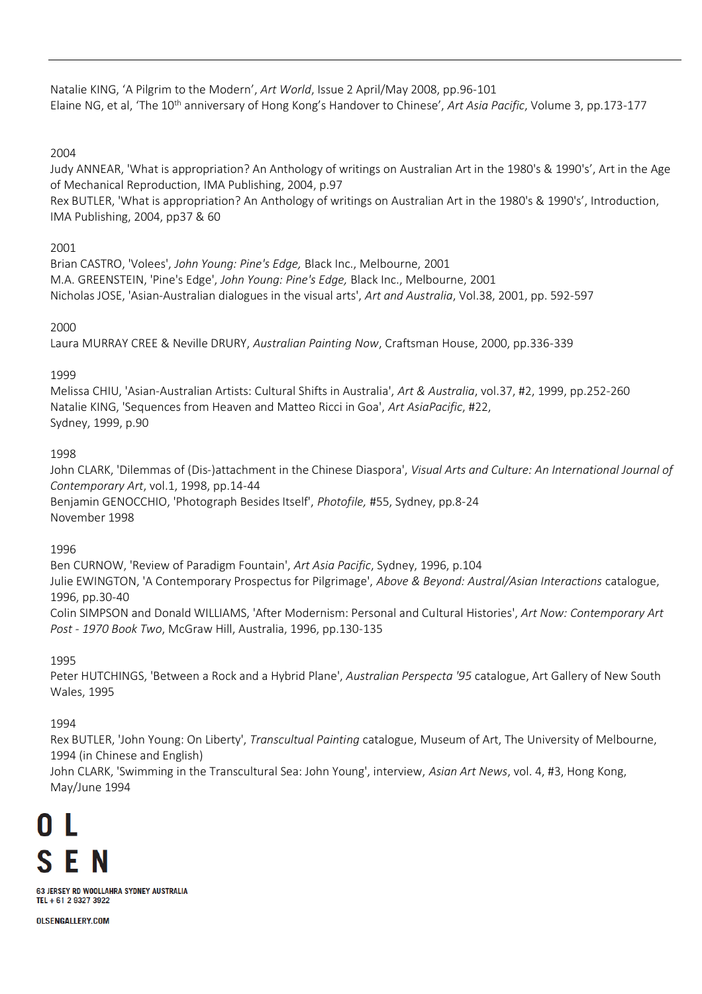Natalie KING, 'A Pilgrim to the Modern', *Art World*, Issue 2 April/May 2008, pp.96-101 Elaine NG, et al, 'The 10th anniversary of Hong Kong's Handover to Chinese', *Art Asia Pacific*, Volume 3, pp.173-177

## 2004

Judy ANNEAR, 'What is appropriation? An Anthology of writings on Australian Art in the 1980's & 1990's', Art in the Age of Mechanical Reproduction, IMA Publishing, 2004, p.97

Rex BUTLER, 'What is appropriation? An Anthology of writings on Australian Art in the 1980's & 1990's', Introduction, IMA Publishing, 2004, pp37 & 60

# 2001

Brian CASTRO, 'Volees', *John Young: Pine's Edge,* Black Inc., Melbourne, 2001 M.A. GREENSTEIN, 'Pine's Edge', *John Young: Pine's Edge,* Black Inc., Melbourne, 2001 Nicholas JOSE, 'Asian-Australian dialogues in the visual arts', *Art and Australia*, Vol.38, 2001, pp. 592-597

# 2000

Laura MURRAY CREE & Neville DRURY, *Australian Painting Now*, Craftsman House, 2000, pp.336-339

# 1999

Melissa CHIU, 'Asian-Australian Artists: Cultural Shifts in Australia', *Art & Australia*, vol.37, #2, 1999, pp.252-260 Natalie KING, 'Sequences from Heaven and Matteo Ricci in Goa', *Art AsiaPacific*, #22, Sydney, 1999, p.90

# 1998

John CLARK, 'Dilemmas of (Dis-)attachment in the Chinese Diaspora', *Visual Arts and Culture: An International Journal of Contemporary Art*, vol.1, 1998, pp.14-44 Benjamin GENOCCHIO, 'Photograph Besides Itself', *Photofile,* #55, Sydney, pp.8-24 November 1998

1996

Ben CURNOW, 'Review of Paradigm Fountain', *Art Asia Pacific*, Sydney, 1996, p.104 Julie EWINGTON, 'A Contemporary Prospectus for Pilgrimage', *Above & Beyond: Austral/Asian Interactions* catalogue, 1996, pp.30-40

Colin SIMPSON and Donald WILLIAMS, 'After Modernism: Personal and Cultural Histories', *Art Now: Contemporary Art Post - 1970 Book Two*, McGraw Hill, Australia, 1996, pp.130-135

1995

Peter HUTCHINGS, 'Between a Rock and a Hybrid Plane', *Australian Perspecta '95* catalogue, Art Gallery of New South Wales, 1995

## 1994

Rex BUTLER, 'John Young: On Liberty', *Transcultual Painting* catalogue, Museum of Art, The University of Melbourne, 1994 (in Chinese and English)

John CLARK, 'Swimming in the Transcultural Sea: John Young', interview, *Asian Art News*, vol. 4, #3, Hong Kong, May/June 1994



63 JERSEY RD WOOLLAHRA SYDNEY AUSTRALIA TEL + 61 2 9327 3922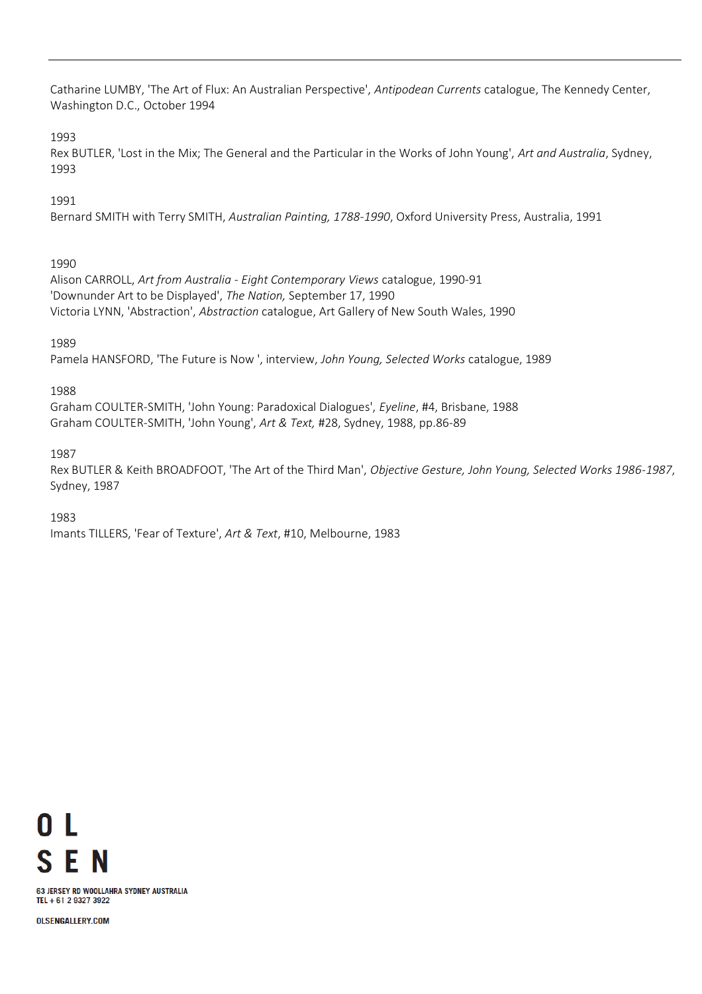Catharine LUMBY, 'The Art of Flux: An Australian Perspective', *Antipodean Currents* catalogue, The Kennedy Center, Washington D.C., October 1994

#### 1993

Rex BUTLER, 'Lost in the Mix; The General and the Particular in the Works of John Young', *Art and Australia*, Sydney, 1993

### 1991

Bernard SMITH with Terry SMITH, *Australian Painting, 1788-1990*, Oxford University Press, Australia, 1991

### 1990

Alison CARROLL, *Art from Australia - Eight Contemporary Views* catalogue, 1990-91 'Downunder Art to be Displayed', *The Nation,* September 17, 1990 Victoria LYNN, 'Abstraction', *Abstraction* catalogue, Art Gallery of New South Wales, 1990

### 1989

Pamela HANSFORD, 'The Future is Now ', interview, *John Young, Selected Works* catalogue, 1989

### 1988

Graham COULTER-SMITH, 'John Young: Paradoxical Dialogues', *Eyeline*, #4, Brisbane, 1988 Graham COULTER-SMITH, 'John Young', *Art & Text,* #28, Sydney, 1988, pp.86-89

### 1987

Rex BUTLER & Keith BROADFOOT, 'The Art of the Third Man', *Objective Gesture, John Young, Selected Works 1986-1987*, Sydney, 1987

#### 1983

Imants TILLERS, 'Fear of Texture', *Art & Text*, #10, Melbourne, 1983



63 JERSEY RD WOOLLAHRA SYDNEY AUSTRALIA TEL + 61 2 9327 3922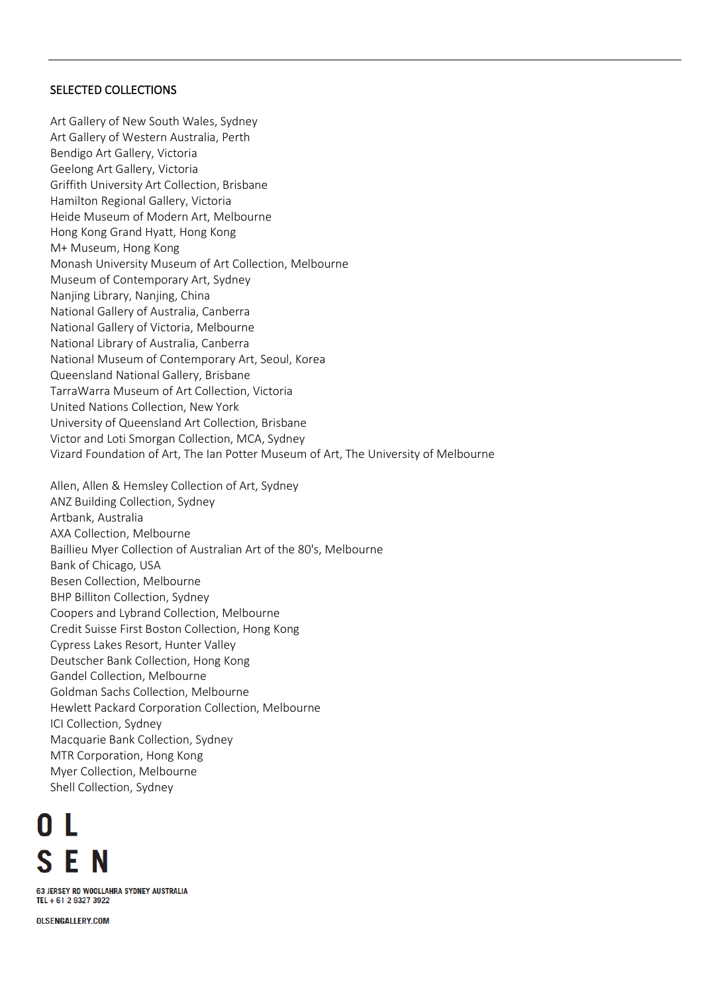#### SELECTED COLLECTIONS

Art Gallery of New South Wales, Sydney Art Gallery of Western Australia, Perth Bendigo Art Gallery, Victoria Geelong Art Gallery, Victoria Griffith University Art Collection, Brisbane Hamilton Regional Gallery, Victoria Heide Museum of Modern Art, Melbourne Hong Kong Grand Hyatt, Hong Kong M+ Museum, Hong Kong Monash University Museum of Art Collection, Melbourne Museum of Contemporary Art, Sydney Nanjing Library, Nanjing, China National Gallery of Australia, Canberra National Gallery of Victoria, Melbourne National Library of Australia, Canberra National Museum of Contemporary Art, Seoul, Korea Queensland National Gallery, Brisbane TarraWarra Museum of Art Collection, Victoria United Nations Collection, New York University of Queensland Art Collection, Brisbane Victor and Loti Smorgan Collection, MCA, Sydney Vizard Foundation of Art, The Ian Potter Museum of Art, The University of Melbourne

Allen, Allen & Hemsley Collection of Art, Sydney ANZ Building Collection, Sydney Artbank, Australia AXA Collection, Melbourne Baillieu Myer Collection of Australian Art of the 80's, Melbourne Bank of Chicago, USA Besen Collection, Melbourne BHP Billiton Collection, Sydney Coopers and Lybrand Collection, Melbourne Credit Suisse First Boston Collection, Hong Kong Cypress Lakes Resort, Hunter Valley Deutscher Bank Collection, Hong Kong Gandel Collection, Melbourne Goldman Sachs Collection, Melbourne Hewlett Packard Corporation Collection, Melbourne ICI Collection, Sydney Macquarie Bank Collection, Sydney MTR Corporation, Hong Kong Myer Collection, Melbourne Shell Collection, Sydney

n I **SEN** 

63 JERSEY RD WOOLLAHRA SYDNEY AUSTRALIA TEL + 61 2 9327 3922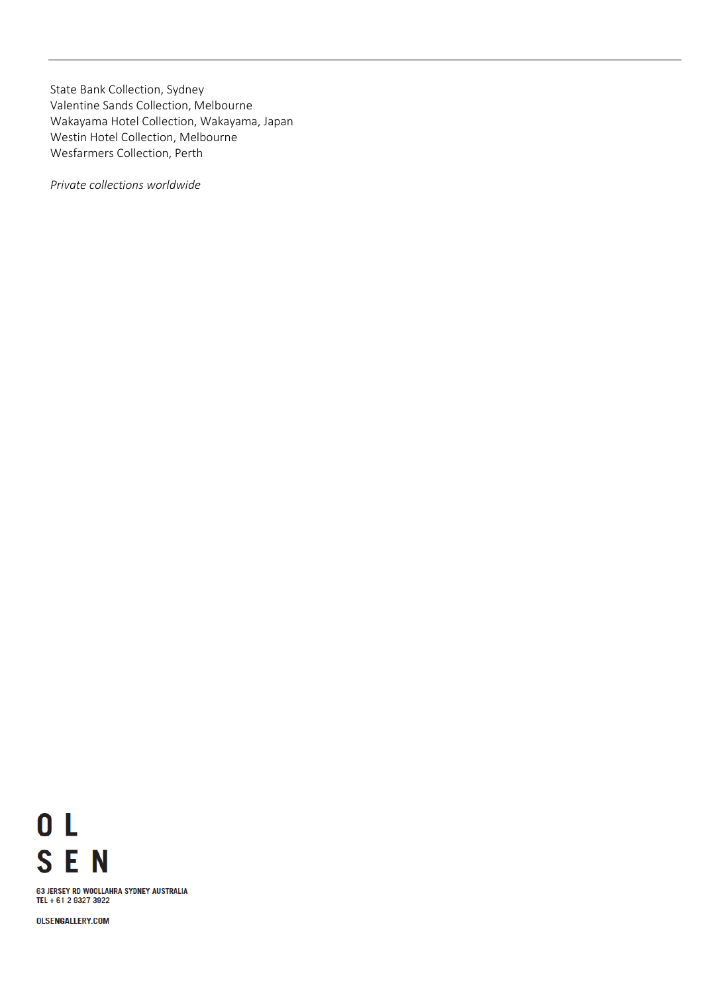State Bank Collection, Sydney Valentine Sands Collection, Melbourne Wakayama Hotel Collection, Wakayama, Japan Westin Hotel Collection, Melbourne Wesfarmers Collection, Perth

*Private collections worldwide*



63 JERSEY RD WOOLLAHRA SYDNEY AUSTRALIA<br>Tel + 61 2 9327 3922